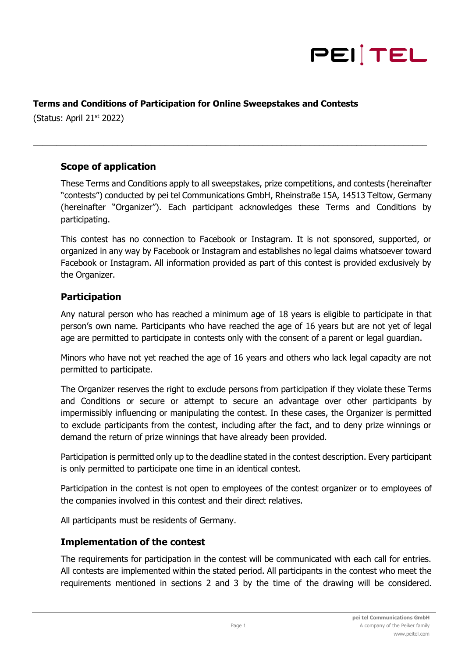

#### **Terms and Conditions of Participation for Online Sweepstakes and Contests**

(Status: April  $21<sup>st</sup> 2022$ )

## **Scope of application**

These Terms and Conditions apply to all sweepstakes, prize competitions, and contests (hereinafter "contests") conducted by pei tel Communications GmbH, Rheinstraße 15A, 14513 Teltow, Germany (hereinafter "Organizer"). Each participant acknowledges these Terms and Conditions by participating.

\_\_\_\_\_\_\_\_\_\_\_\_\_\_\_\_\_\_\_\_\_\_\_\_\_\_\_\_\_\_\_\_\_\_\_\_\_\_\_\_\_\_\_\_\_\_\_\_\_\_\_\_\_\_\_\_\_\_\_\_\_\_\_\_\_\_\_\_\_\_\_\_\_\_\_\_\_\_\_\_\_\_\_\_

This contest has no connection to Facebook or Instagram. It is not sponsored, supported, or organized in any way by Facebook or Instagram and establishes no legal claims whatsoever toward Facebook or Instagram. All information provided as part of this contest is provided exclusively by the Organizer.

### **Participation**

Any natural person who has reached a minimum age of 18 years is eligible to participate in that person's own name. Participants who have reached the age of 16 years but are not yet of legal age are permitted to participate in contests only with the consent of a parent or legal guardian.

Minors who have not yet reached the age of 16 years and others who lack legal capacity are not permitted to participate.

The Organizer reserves the right to exclude persons from participation if they violate these Terms and Conditions or secure or attempt to secure an advantage over other participants by impermissibly influencing or manipulating the contest. In these cases, the Organizer is permitted to exclude participants from the contest, including after the fact, and to deny prize winnings or demand the return of prize winnings that have already been provided.

Participation is permitted only up to the deadline stated in the contest description. Every participant is only permitted to participate one time in an identical contest.

Participation in the contest is not open to employees of the contest organizer or to employees of the companies involved in this contest and their direct relatives.

All participants must be residents of Germany.

### **Implementation of the contest**

The requirements for participation in the contest will be communicated with each call for entries. All contests are implemented within the stated period. All participants in the contest who meet the requirements mentioned in sections 2 and 3 by the time of the drawing will be considered.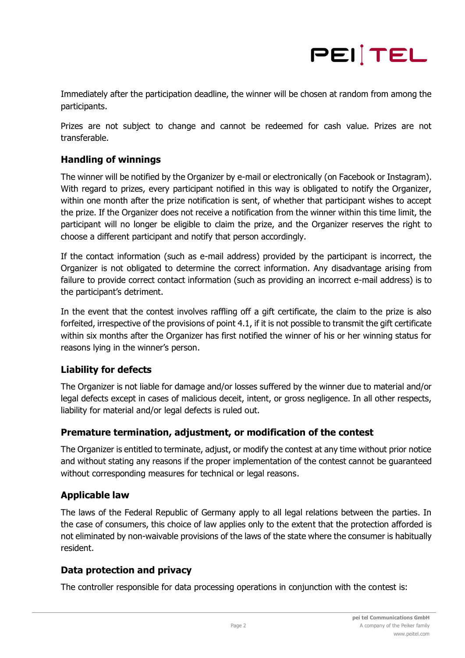

Immediately after the participation deadline, the winner will be chosen at random from among the participants.

Prizes are not subject to change and cannot be redeemed for cash value. Prizes are not transferable.

## **Handling of winnings**

The winner will be notified by the Organizer by e-mail or electronically (on Facebook or Instagram). With regard to prizes, every participant notified in this way is obligated to notify the Organizer, within one month after the prize notification is sent, of whether that participant wishes to accept the prize. If the Organizer does not receive a notification from the winner within this time limit, the participant will no longer be eligible to claim the prize, and the Organizer reserves the right to choose a different participant and notify that person accordingly.

If the contact information (such as e-mail address) provided by the participant is incorrect, the Organizer is not obligated to determine the correct information. Any disadvantage arising from failure to provide correct contact information (such as providing an incorrect e-mail address) is to the participant's detriment.

In the event that the contest involves raffling off a gift certificate, the claim to the prize is also forfeited, irrespective of the provisions of point 4.1, if it is not possible to transmit the gift certificate within six months after the Organizer has first notified the winner of his or her winning status for reasons lying in the winner's person.

### **Liability for defects**

The Organizer is not liable for damage and/or losses suffered by the winner due to material and/or legal defects except in cases of malicious deceit, intent, or gross negligence. In all other respects, liability for material and/or legal defects is ruled out.

### **Premature termination, adjustment, or modification of the contest**

The Organizer is entitled to terminate, adjust, or modify the contest at any time without prior notice and without stating any reasons if the proper implementation of the contest cannot be guaranteed without corresponding measures for technical or legal reasons.

### **Applicable law**

The laws of the Federal Republic of Germany apply to all legal relations between the parties. In the case of consumers, this choice of law applies only to the extent that the protection afforded is not eliminated by non-waivable provisions of the laws of the state where the consumer is habitually resident.

### **Data protection and privacy**

The controller responsible for data processing operations in conjunction with the contest is: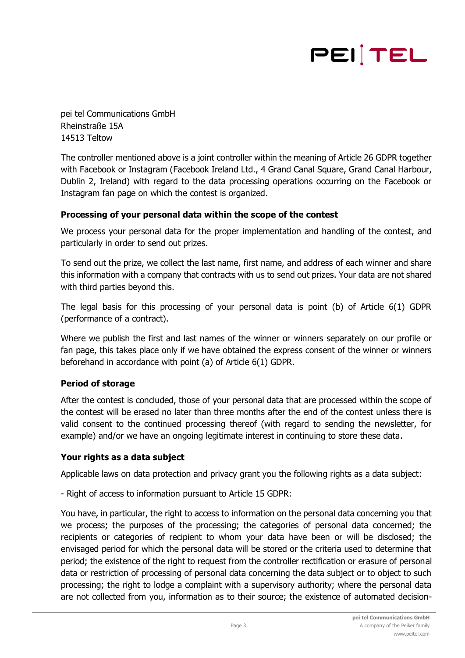# PEITEL

pei tel Communications GmbH Rheinstraße 15A 14513 Teltow

The controller mentioned above is a joint controller within the meaning of Article 26 GDPR together with Facebook or Instagram (Facebook Ireland Ltd., 4 Grand Canal Square, Grand Canal Harbour, Dublin 2, Ireland) with regard to the data processing operations occurring on the Facebook or Instagram fan page on which the contest is organized.

#### **Processing of your personal data within the scope of the contest**

We process your personal data for the proper implementation and handling of the contest, and particularly in order to send out prizes.

To send out the prize, we collect the last name, first name, and address of each winner and share this information with a company that contracts with us to send out prizes. Your data are not shared with third parties beyond this.

The legal basis for this processing of your personal data is point (b) of Article 6(1) GDPR (performance of a contract).

Where we publish the first and last names of the winner or winners separately on our profile or fan page, this takes place only if we have obtained the express consent of the winner or winners beforehand in accordance with point (a) of Article 6(1) GDPR.

### **Period of storage**

After the contest is concluded, those of your personal data that are processed within the scope of the contest will be erased no later than three months after the end of the contest unless there is valid consent to the continued processing thereof (with regard to sending the newsletter, for example) and/or we have an ongoing legitimate interest in continuing to store these data.

#### **Your rights as a data subject**

Applicable laws on data protection and privacy grant you the following rights as a data subject:

- Right of access to information pursuant to Article 15 GDPR:

You have, in particular, the right to access to information on the personal data concerning you that we process; the purposes of the processing; the categories of personal data concerned; the recipients or categories of recipient to whom your data have been or will be disclosed; the envisaged period for which the personal data will be stored or the criteria used to determine that period; the existence of the right to request from the controller rectification or erasure of personal data or restriction of processing of personal data concerning the data subject or to object to such processing; the right to lodge a complaint with a supervisory authority; where the personal data are not collected from you, information as to their source; the existence of automated decision-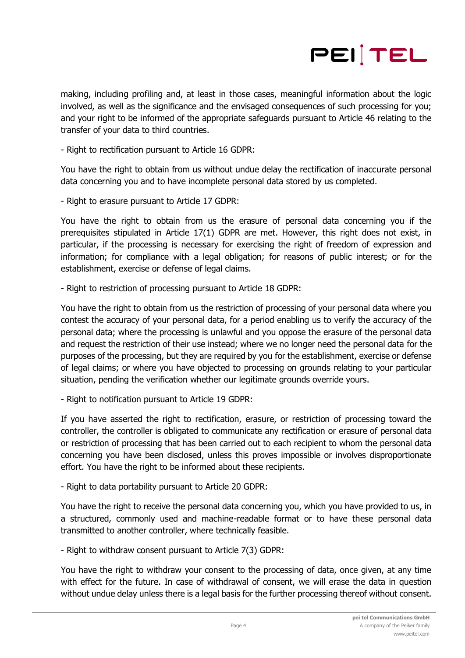

making, including profiling and, at least in those cases, meaningful information about the logic involved, as well as the significance and the envisaged consequences of such processing for you; and your right to be informed of the appropriate safeguards pursuant to Article 46 relating to the transfer of your data to third countries.

- Right to rectification pursuant to Article 16 GDPR:

You have the right to obtain from us without undue delay the rectification of inaccurate personal data concerning you and to have incomplete personal data stored by us completed.

- Right to erasure pursuant to Article 17 GDPR:

You have the right to obtain from us the erasure of personal data concerning you if the prerequisites stipulated in Article 17(1) GDPR are met. However, this right does not exist, in particular, if the processing is necessary for exercising the right of freedom of expression and information; for compliance with a legal obligation; for reasons of public interest; or for the establishment, exercise or defense of legal claims.

- Right to restriction of processing pursuant to Article 18 GDPR:

You have the right to obtain from us the restriction of processing of your personal data where you contest the accuracy of your personal data, for a period enabling us to verify the accuracy of the personal data; where the processing is unlawful and you oppose the erasure of the personal data and request the restriction of their use instead; where we no longer need the personal data for the purposes of the processing, but they are required by you for the establishment, exercise or defense of legal claims; or where you have objected to processing on grounds relating to your particular situation, pending the verification whether our legitimate grounds override yours.

- Right to notification pursuant to Article 19 GDPR:

If you have asserted the right to rectification, erasure, or restriction of processing toward the controller, the controller is obligated to communicate any rectification or erasure of personal data or restriction of processing that has been carried out to each recipient to whom the personal data concerning you have been disclosed, unless this proves impossible or involves disproportionate effort. You have the right to be informed about these recipients.

- Right to data portability pursuant to Article 20 GDPR:

You have the right to receive the personal data concerning you, which you have provided to us, in a structured, commonly used and machine-readable format or to have these personal data transmitted to another controller, where technically feasible.

- Right to withdraw consent pursuant to Article 7(3) GDPR:

You have the right to withdraw your consent to the processing of data, once given, at any time with effect for the future. In case of withdrawal of consent, we will erase the data in question without undue delay unless there is a legal basis for the further processing thereof without consent.